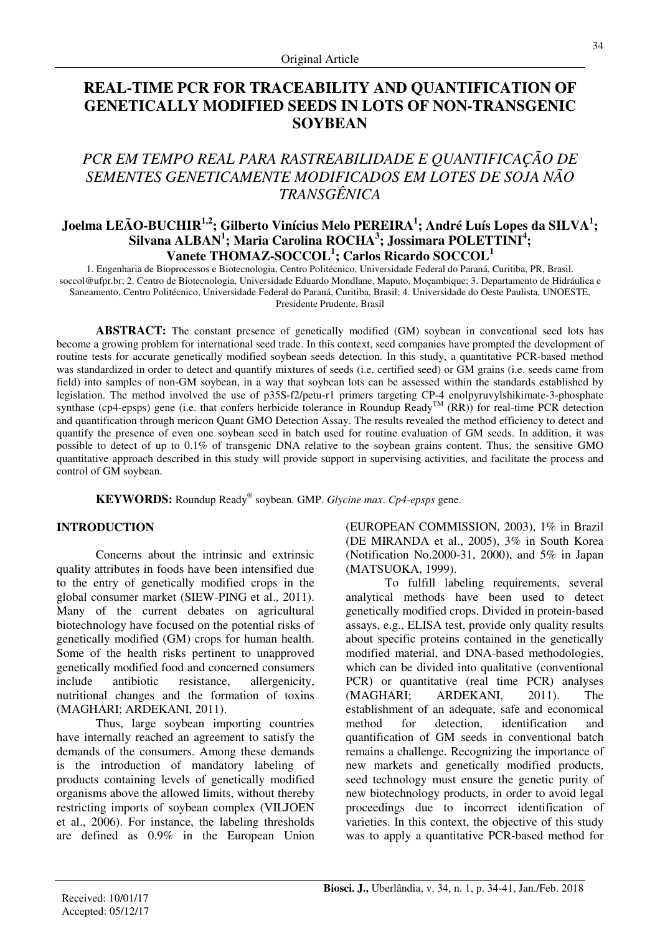# **REAL-TIME PCR FOR TRACEABILITY AND QUANTIFICATION OF GENETICALLY MODIFIED SEEDS IN LOTS OF NON-TRANSGENIC SOYBEAN**

# *PCR EM TEMPO REAL PARA RASTREABILIDADE E QUANTIFICAÇÃO DE SEMENTES GENETICAMENTE MODIFICADOS EM LOTES DE SOJA NÃO TRANSGÊNICA*

# **Joelma LEÃO-BUCHIR1,2; Gilberto Vinícius Melo PEREIRA<sup>1</sup> ; André Luís Lopes da SILVA<sup>1</sup> ; Silvana ALBAN<sup>1</sup> ; Maria Carolina ROCHA<sup>3</sup> ; Jossimara POLETTINI<sup>4</sup> ; Vanete THOMAZ-SOCCOL<sup>1</sup> ; Carlos Ricardo SOCCOL<sup>1</sup>**

1. Engenharia de Bioprocessos e Biotecnologia, Centro Politécnico, Universidade Federal do Paraná, Curitiba, PR, Brasil. soccol@ufpr.br; 2. Centro de Biotecnologia, Universidade Eduardo Mondlane, Maputo, Moçambique; 3. Departamento de Hidráulica e Saneamento, Centro Politécnico, Universidade Federal do Paraná, Curitiba, Brasil; 4. Universidade do Oeste Paulista, UNOESTE, Presidente Prudente, Brasil

**ABSTRACT:** The constant presence of genetically modified (GM) soybean in conventional seed lots has become a growing problem for international seed trade. In this context, seed companies have prompted the development of routine tests for accurate genetically modified soybean seeds detection. In this study, a quantitative PCR-based method was standardized in order to detect and quantify mixtures of seeds (i.e. certified seed) or GM grains (i.e. seeds came from field) into samples of non-GM soybean, in a way that soybean lots can be assessed within the standards established by legislation. The method involved the use of p35S-f2/petu-r1 primers targeting CP-4 enolpyruvylshikimate-3-phosphate synthase (cp4-epsps) gene (i.e. that confers herbicide tolerance in Roundup  $\operatorname{Ready}^{\text{TM}}$  (RR)) for real-time PCR detection and quantification through mericon Quant GMO Detection Assay. The results revealed the method efficiency to detect and quantify the presence of even one soybean seed in batch used for routine evaluation of GM seeds. In addition, it was possible to detect of up to 0.1% of transgenic DNA relative to the soybean grains content. Thus, the sensitive GMO quantitative approach described in this study will provide support in supervising activities, and facilitate the process and control of GM soybean.

**KEYWORDS:** Roundup Ready® soybean. GMP. *Glycine max*. *Cp4-epsps* gene.

## **INTRODUCTION**

Concerns about the intrinsic and extrinsic quality attributes in foods have been intensified due to the entry of genetically modified crops in the global consumer market (SIEW-PING et al., 2011). Many of the current debates on agricultural biotechnology have focused on the potential risks of genetically modified (GM) crops for human health. Some of the health risks pertinent to unapproved genetically modified food and concerned consumers include antibiotic resistance, allergenicity, nutritional changes and the formation of toxins (MAGHARI; ARDEKANI, 2011).

Thus, large soybean importing countries have internally reached an agreement to satisfy the demands of the consumers. Among these demands is the introduction of mandatory labeling of products containing levels of genetically modified organisms above the allowed limits, without thereby restricting imports of soybean complex (VILJOEN et al., 2006). For instance, the labeling thresholds are defined as 0.9% in the European Union (EUROPEAN COMMISSION, 2003), 1% in Brazil (DE MIRANDA et al., 2005), 3% in South Korea (Notification No.2000-31, 2000), and 5% in Japan (MATSUOKA, 1999).

To fulfill labeling requirements, several analytical methods have been used to detect genetically modified crops. Divided in protein-based assays, e.g., ELISA test, provide only quality results about specific proteins contained in the genetically modified material, and DNA-based methodologies, which can be divided into qualitative (conventional PCR) or quantitative (real time PCR) analyses (MAGHARI; ARDEKANI, 2011). The establishment of an adequate, safe and economical method for detection, identification and quantification of GM seeds in conventional batch remains a challenge. Recognizing the importance of new markets and genetically modified products, seed technology must ensure the genetic purity of new biotechnology products, in order to avoid legal proceedings due to incorrect identification of varieties. In this context, the objective of this study was to apply a quantitative PCR-based method for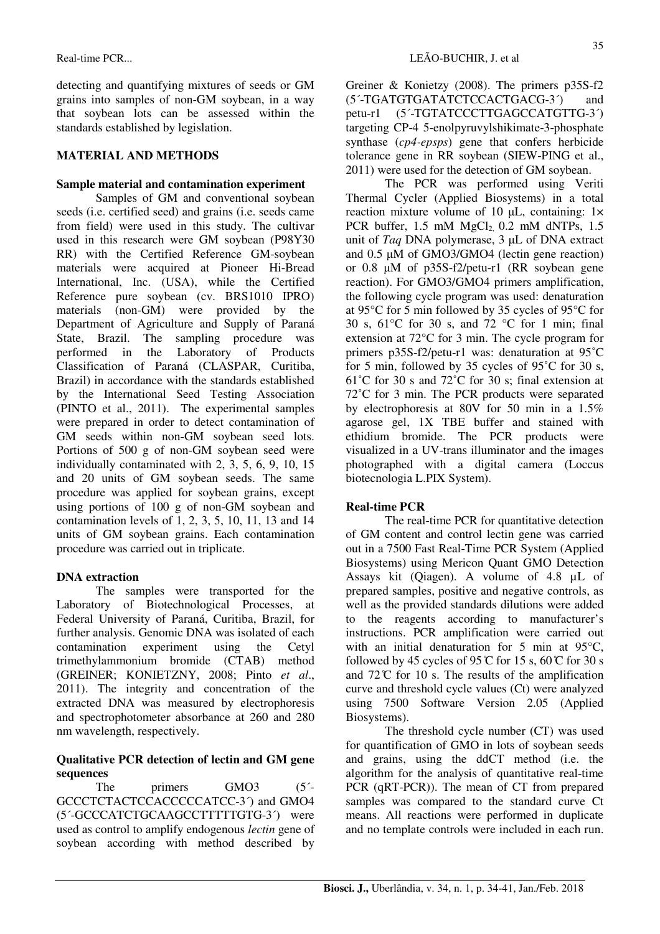detecting and quantifying mixtures of seeds or GM grains into samples of non-GM soybean, in a way that soybean lots can be assessed within the standards established by legislation.

## **MATERIAL AND METHODS**

## **Sample material and contamination experiment**

Samples of GM and conventional soybean seeds (i.e. certified seed) and grains (i.e. seeds came from field) were used in this study. The cultivar used in this research were GM soybean (P98Y30 RR) with the Certified Reference GM-soybean materials were acquired at Pioneer Hi-Bread International, Inc. (USA), while the Certified Reference pure soybean (cv. BRS1010 IPRO) materials (non-GM) were provided by the Department of Agriculture and Supply of Paraná State, Brazil. The sampling procedure was performed in the Laboratory of Products Classification of Paraná (CLASPAR, Curitiba, Brazil) in accordance with the standards established by the International Seed Testing Association (PINTO et al., 2011). The experimental samples were prepared in order to detect contamination of GM seeds within non-GM soybean seed lots. Portions of 500 g of non-GM soybean seed were individually contaminated with 2, 3, 5, 6, 9, 10, 15 and 20 units of GM soybean seeds. The same procedure was applied for soybean grains, except using portions of 100 g of non-GM soybean and contamination levels of 1, 2, 3, 5, 10, 11, 13 and 14 units of GM soybean grains. Each contamination procedure was carried out in triplicate.

## **DNA extraction**

The samples were transported for the Laboratory of Biotechnological Processes, at Federal University of Paraná, Curitiba, Brazil, for further analysis. Genomic DNA was isolated of each contamination experiment using the Cetyl trimethylammonium bromide (CTAB) method (GREINER; KONIETZNY, 2008; Pinto *et al*., 2011). The integrity and concentration of the extracted DNA was measured by electrophoresis and spectrophotometer absorbance at 260 and 280 nm wavelength, respectively.

## **Qualitative PCR detection of lectin and GM gene sequences**

The primers GMO3 (5<sup>2</sup>) GCCCTCTACTCCACCCCCATCC-3´) and GMO4 (5´-GCCCATCTGCAAGCCTTTTTGTG-3´) were used as control to amplify endogenous *lectin* gene of soybean according with method described by Greiner & Konietzy (2008). The primers p35S-f2 (5´-TGATGTGATATCTCCACTGACG-3´) and petu-r1 (5´-TGTATCCCTTGAGCCATGTTG-3´) targeting CP-4 5-enolpyruvylshikimate-3-phosphate synthase (*cp4-epsps*) gene that confers herbicide tolerance gene in RR soybean (SIEW-PING et al., 2011) were used for the detection of GM soybean.

The PCR was performed using Veriti Thermal Cycler (Applied Biosystems) in a total reaction mixture volume of 10  $\mu$ L, containing: 1× PCR buffer,  $1.5$  mM  $MgCl<sub>2</sub>$  0.2 mM dNTPs,  $1.5$ unit of *Taq* DNA polymerase, 3 µL of DNA extract and 0.5 µM of GMO3/GMO4 (lectin gene reaction) or 0.8 µM of p35S-f2/petu-r1 (RR soybean gene reaction). For GMO3/GMO4 primers amplification, the following cycle program was used: denaturation at 95°C for 5 min followed by 35 cycles of 95°C for 30 s, 61°C for 30 s, and 72 °C for 1 min; final extension at 72°C for 3 min. The cycle program for primers p35S-f2/petu-r1 was: denaturation at 95˚C for 5 min, followed by 35 cycles of 95˚C for 30 s, 61˚C for 30 s and 72˚C for 30 s; final extension at 72˚C for 3 min. The PCR products were separated by electrophoresis at 80V for 50 min in a 1.5% agarose gel, 1X TBE buffer and stained with ethidium bromide. The PCR products were visualized in a UV-trans illuminator and the images photographed with a digital camera (Loccus biotecnologia L.PIX System).

## **Real-time PCR**

The real-time PCR for quantitative detection of GM content and control lectin gene was carried out in a 7500 Fast Real-Time PCR System (Applied Biosystems) using Mericon Quant GMO Detection Assays kit (Qiagen). A volume of 4.8 µL of prepared samples, positive and negative controls, as well as the provided standards dilutions were added to the reagents according to manufacturer's instructions. PCR amplification were carried out with an initial denaturation for 5 min at 95°C, followed by 45 cycles of 95  $\mathbb C$  for 15 s, 60  $\mathbb C$  for 30 s and  $72^{\circ}$ C for 10 s. The results of the amplification curve and threshold cycle values (Ct) were analyzed using 7500 Software Version 2.05 (Applied Biosystems).

The threshold cycle number (CT) was used for quantification of GMO in lots of soybean seeds and grains, using the ddCT method (i.e. the algorithm for the analysis of quantitative real-time PCR (qRT-PCR)). The mean of CT from prepared samples was compared to the standard curve Ct means. All reactions were performed in duplicate and no template controls were included in each run.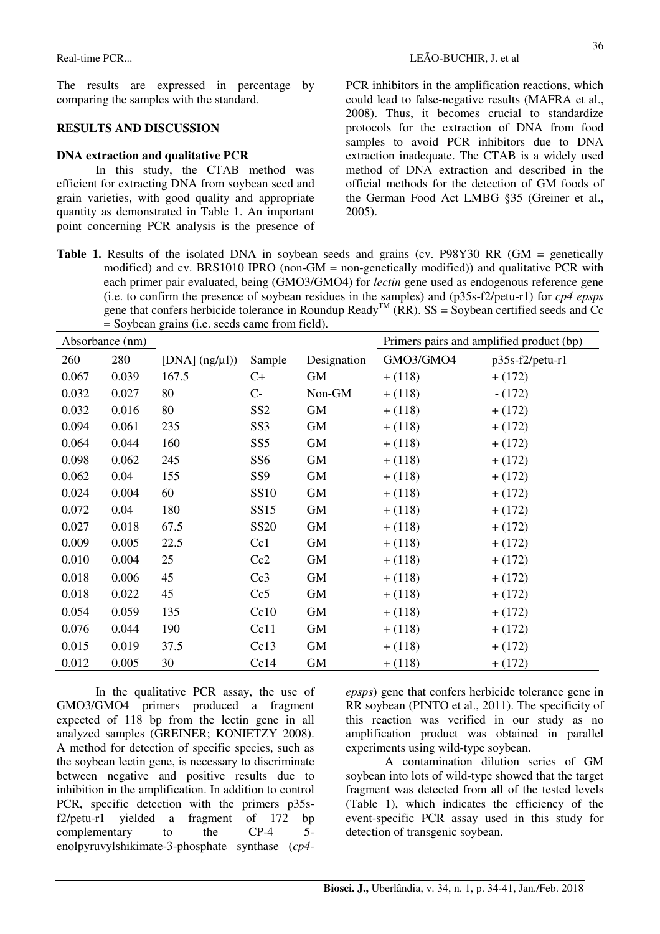The results are expressed in percentage by comparing the samples with the standard.

## **RESULTS AND DISCUSSION**

### **DNA extraction and qualitative PCR**

In this study, the CTAB method was efficient for extracting DNA from soybean seed and grain varieties, with good quality and appropriate quantity as demonstrated in Table 1. An important point concerning PCR analysis is the presence of PCR inhibitors in the amplification reactions, which could lead to false-negative results (MAFRA et al., 2008). Thus, it becomes crucial to standardize protocols for the extraction of DNA from food samples to avoid PCR inhibitors due to DNA extraction inadequate. The CTAB is a widely used method of DNA extraction and described in the official methods for the detection of GM foods of the German Food Act LMBG §35 (Greiner et al., 2005).

Table 1. Results of the isolated DNA in soybean seeds and grains (cv. P98Y30 RR (GM = genetically modified) and cv. BRS1010 IPRO (non-GM = non-genetically modified)) and qualitative PCR with each primer pair evaluated, being (GMO3/GMO4) for *lectin* gene used as endogenous reference gene (i.e. to confirm the presence of soybean residues in the samples) and (p35s-f2/petu-r1) for *cp4 epsps* gene that confers herbicide tolerance in Roundup Ready<sup>TM</sup> (RR).  $SS = Sovbean$  certified seeds and Cc = Soybean grains (i.e. seeds came from field).

| Absorbance (nm) |       |                      |                 |             | Primers pairs and amplified product (bp) |                 |
|-----------------|-------|----------------------|-----------------|-------------|------------------------------------------|-----------------|
| 260             | 280   | [DNA] $(ng/\mu l)$ ] | Sample          | Designation | GMO3/GMO4                                | p35s-f2/petu-r1 |
| 0.067           | 0.039 | 167.5                | $C+$            | GM          | $+ (118)$                                | $+ (172)$       |
| 0.032           | 0.027 | 80                   | $C-$            | Non-GM      | $+ (118)$                                | $- (172)$       |
| 0.032           | 0.016 | 80                   | SS <sub>2</sub> | GM          | $+ (118)$                                | $+ (172)$       |
| 0.094           | 0.061 | 235                  | SS <sub>3</sub> | <b>GM</b>   | $+ (118)$                                | $+ (172)$       |
| 0.064           | 0.044 | 160                  | SS <sub>5</sub> | GM          | $+ (118)$                                | $+ (172)$       |
| 0.098           | 0.062 | 245                  | SS <sub>6</sub> | <b>GM</b>   | $+ (118)$                                | $+ (172)$       |
| 0.062           | 0.04  | 155                  | SS <sub>9</sub> | GM          | $+ (118)$                                | $+ (172)$       |
| 0.024           | 0.004 | 60                   | <b>SS10</b>     | GM          | $+ (118)$                                | $+ (172)$       |
| 0.072           | 0.04  | 180                  | SS15            | GM          | $+ (118)$                                | $+ (172)$       |
| 0.027           | 0.018 | 67.5                 | <b>SS20</b>     | <b>GM</b>   | $+ (118)$                                | $+ (172)$       |
| 0.009           | 0.005 | 22.5                 | Cc1             | GM          | $+ (118)$                                | $+ (172)$       |
| 0.010           | 0.004 | 25                   | Cc2             | GM          | $+ (118)$                                | $+ (172)$       |
| 0.018           | 0.006 | 45                   | Cc3             | GM          | $+ (118)$                                | $+ (172)$       |
| 0.018           | 0.022 | 45                   | Cc5             | GM          | $+ (118)$                                | $+ (172)$       |
| 0.054           | 0.059 | 135                  | Cc10            | GM          | $+ (118)$                                | $+ (172)$       |
| 0.076           | 0.044 | 190                  | Cc11            | GM          | $+ (118)$                                | $+ (172)$       |
| 0.015           | 0.019 | 37.5                 | Cc13            | GM          | $+ (118)$                                | $+ (172)$       |
| 0.012           | 0.005 | 30                   | Cc14            | GM          | $+ (118)$                                | $+ (172)$       |

In the qualitative PCR assay, the use of GMO3/GMO4 primers produced a fragment expected of 118 bp from the lectin gene in all analyzed samples (GREINER; KONIETZY 2008). A method for detection of specific species, such as the soybean lectin gene, is necessary to discriminate between negative and positive results due to inhibition in the amplification. In addition to control PCR, specific detection with the primers p35sf2/petu-r1 yielded a fragment of 172 bp complementary to the CP-4 5 enolpyruvylshikimate-3-phosphate synthase (*cp4-* *epsps*) gene that confers herbicide tolerance gene in RR soybean (PINTO et al., 2011). The specificity of this reaction was verified in our study as no amplification product was obtained in parallel experiments using wild-type soybean.

A contamination dilution series of GM soybean into lots of wild-type showed that the target fragment was detected from all of the tested levels (Table 1), which indicates the efficiency of the event-specific PCR assay used in this study for detection of transgenic soybean.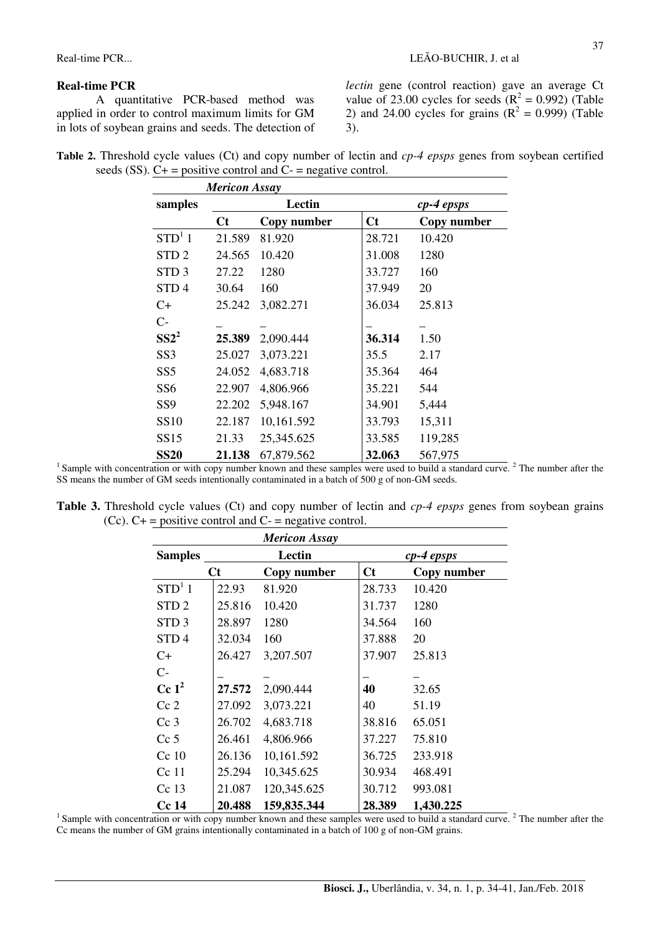#### **Real-time PCR**

A quantitative PCR-based method was applied in order to control maximum limits for GM in lots of soybean grains and seeds. The detection of 37

*lectin* gene (control reaction) gave an average Ct value of 23.00 cycles for seeds  $(R^2 = 0.992)$  (Table 2) and 24.00 cycles for grains  $(R^2 = 0.999)$  (Table 3).

| Table 2. Threshold cycle values (Ct) and copy number of lectin and cp-4 epsps genes from soybean certified |  |  |  |
|------------------------------------------------------------------------------------------------------------|--|--|--|
| seeds (SS). $C_{+}$ = positive control and $C_{-}$ = negative control.                                     |  |  |  |

| <b>Mericon Assay</b> |         |             |         |             |  |
|----------------------|---------|-------------|---------|-------------|--|
| samples              |         | Lectin      |         | cp-4 epsps  |  |
|                      | $C_{t}$ | Copy number | $C_{t}$ | Copy number |  |
| STD <sup>1</sup> 1   | 21.589  | 81.920      | 28.721  | 10.420      |  |
| STD <sub>2</sub>     | 24.565  | 10.420      | 31.008  | 1280        |  |
| STD <sub>3</sub>     | 27.22   | 1280        | 33.727  | 160         |  |
| STD <sub>4</sub>     | 30.64   | 160         | 37.949  | 20          |  |
| C+                   | 25.242  | 3,082.271   | 36.034  | 25.813      |  |
| $C-$                 |         |             |         |             |  |
| $SS2^2$              | 25.389  | 2,090.444   | 36.314  | 1.50        |  |
| SS <sub>3</sub>      | 25.027  | 3,073.221   | 35.5    | 2.17        |  |
| SS <sub>5</sub>      | 24.052  | 4,683.718   | 35.364  | 464         |  |
| SS <sub>6</sub>      | 22.907  | 4,806.966   | 35.221  | 544         |  |
| SS <sub>9</sub>      | 22.202  | 5,948.167   | 34.901  | 5,444       |  |
| <b>SS10</b>          | 22.187  | 10,161.592  | 33.793  | 15,311      |  |
| SS15                 | 21.33   | 25,345.625  | 33.585  | 119,285     |  |
| <b>SS20</b>          | 21.138  | 67,879.562  | 32.063  | 567,975     |  |

<sup>1</sup> Sample with concentration or with copy number known and these samples were used to build a standard curve.<sup>2</sup> The number after the SS means the number of GM seeds intentionally contaminated in a batch of 500 g of non-GM seeds.

**Table 3.** Threshold cycle values (Ct) and copy number of lectin and *cp-4 epsps* genes from soybean grains (Cc).  $C_{+}$  = positive control and  $C_{-}$  = negative control.

|                    |         | <b>Mericon Assay</b> |         |             |  |  |
|--------------------|---------|----------------------|---------|-------------|--|--|
| <b>Samples</b>     | Lectin  |                      |         | cp-4 epsps  |  |  |
|                    | $C_{t}$ | Copy number          | $C_{t}$ | Copy number |  |  |
| STD <sup>1</sup> 1 | 22.93   | 81.920               | 28.733  | 10.420      |  |  |
| STD <sub>2</sub>   | 25.816  | 10.420               | 31.737  | 1280        |  |  |
| STD <sub>3</sub>   | 28.897  | 1280                 | 34.564  | 160         |  |  |
| STD <sub>4</sub>   | 32.034  | 160                  | 37.888  | 20          |  |  |
| $C+$               | 26.427  | 3,207.507            | 37.907  | 25.813      |  |  |
| $C-$               |         |                      |         |             |  |  |
| $Cc1^2$            | 27.572  | 2,090.444            | 40      | 32.65       |  |  |
| Cc <sub>2</sub>    | 27.092  | 3,073.221            | 40      | 51.19       |  |  |
| Cc <sub>3</sub>    | 26.702  | 4,683.718            | 38.816  | 65.051      |  |  |
| Cc <sub>5</sub>    | 26.461  | 4,806.966            | 37.227  | 75.810      |  |  |
| $Cc$ 10            | 26.136  | 10,161.592           | 36.725  | 233.918     |  |  |
| $Cc$ 11            | 25.294  | 10,345.625           | 30.934  | 468.491     |  |  |
| $Cc$ 13            | 21.087  | 120,345.625          | 30.712  | 993.081     |  |  |
| <b>Cc 14</b>       | 20.488  | 159,835.344          | 28.389  | 1,430.225   |  |  |

 $1$  Sample with concentration or with copy number known and these samples were used to build a standard curve.  $2$  The number after the Cc means the number of GM grains intentionally contaminated in a batch of 100 g of non-GM grains.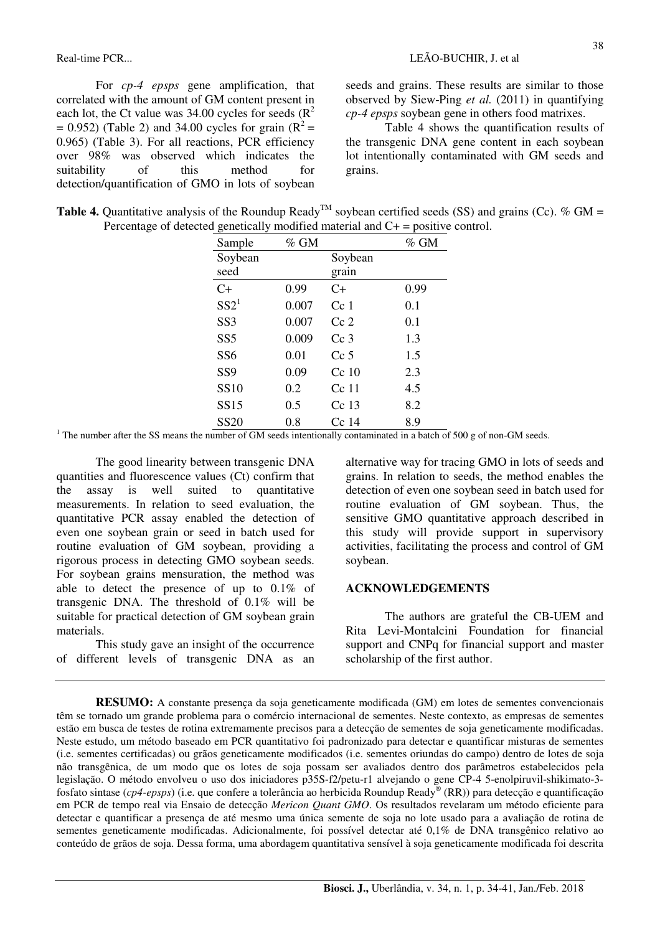For *cp-4 epsps* gene amplification, that correlated with the amount of GM content present in each lot, the Ct value was  $34.00$  cycles for seeds ( $\mathbb{R}^2$ )  $= 0.952$ ) (Table 2) and 34.00 cycles for grain ( $R^2 =$ 0.965) (Table 3). For all reactions, PCR efficiency over 98% was observed which indicates the suitability of this method for detection/quantification of GMO in lots of soybean

seeds and grains. These results are similar to those observed by Siew-Ping *et al.* (2011) in quantifying *cp-4 epsps* soybean gene in others food matrixes.

Table 4 shows the quantification results of the transgenic DNA gene content in each soybean lot intentionally contaminated with GM seeds and grains.

| <b>Table 4.</b> Quantitative analysis of the Roundup Ready <sup>TM</sup> soybean certified seeds (SS) and grains (Cc). % GM = |  |
|-------------------------------------------------------------------------------------------------------------------------------|--|
| Percentage of detected genetically modified material and $C_{+}$ = positive control.                                          |  |

| Sample          | $%$ GM |                 | % GM |
|-----------------|--------|-----------------|------|
| Soybean         |        | Soybean         |      |
| seed            |        | grain           |      |
| $C+$            | 0.99   | $C+$            | 0.99 |
| $SS2^1$         | 0.007  | Cc <sub>1</sub> | 0.1  |
| SS <sub>3</sub> | 0.007  | Cc2             | 0.1  |
| SS <sub>5</sub> | 0.009  | Cc <sub>3</sub> | 1.3  |
| SS <sub>6</sub> | 0.01   | $Cc$ 5          | 1.5  |
| SS <sub>9</sub> | 0.09   | $Cc$ 10         | 2.3  |
| <b>SS10</b>     | 0.2    | Cc 11           | 4.5  |
| <b>SS15</b>     | 0.5    | $Cc$ 13         | 8.2  |
| <b>SS20</b>     | 0.8    | $Cc$ 14         | 8.9  |

<sup>1</sup> The number after the SS means the number of GM seeds intentionally contaminated in a batch of 500 g of non-GM seeds.

The good linearity between transgenic DNA quantities and fluorescence values (Ct) confirm that the assay is well suited to quantitative measurements. In relation to seed evaluation, the quantitative PCR assay enabled the detection of even one soybean grain or seed in batch used for routine evaluation of GM soybean, providing a rigorous process in detecting GMO soybean seeds. For soybean grains mensuration, the method was able to detect the presence of up to 0.1% of transgenic DNA. The threshold of 0.1% will be suitable for practical detection of GM soybean grain materials.

This study gave an insight of the occurrence of different levels of transgenic DNA as an alternative way for tracing GMO in lots of seeds and grains. In relation to seeds, the method enables the detection of even one soybean seed in batch used for routine evaluation of GM soybean. Thus, the sensitive GMO quantitative approach described in this study will provide support in supervisory activities, facilitating the process and control of GM soybean.

#### **ACKNOWLEDGEMENTS**

The authors are grateful the CB-UEM and Rita Levi-Montalcini Foundation for financial support and CNPq for financial support and master scholarship of the first author.

**RESUMO:** A constante presença da soja geneticamente modificada (GM) em lotes de sementes convencionais têm se tornado um grande problema para o comércio internacional de sementes. Neste contexto, as empresas de sementes estão em busca de testes de rotina extremamente precisos para a detecção de sementes de soja geneticamente modificadas. Neste estudo, um método baseado em PCR quantitativo foi padronizado para detectar e quantificar misturas de sementes (i.e. sementes certificadas) ou grãos geneticamente modificados (i.e. sementes oriundas do campo) dentro de lotes de soja não transgênica, de um modo que os lotes de soja possam ser avaliados dentro dos parâmetros estabelecidos pela legislação. O método envolveu o uso dos iniciadores p35S-f2/petu-r1 alvejando o gene CP-4 5-enolpiruvil-shikimato-3 fosfato sintase (*cp4-epsps*) (i.e. que confere a tolerância ao herbicida Roundup Ready® (RR)) para detecção e quantificação em PCR de tempo real via Ensaio de detecção *Mericon Quant GMO*. Os resultados revelaram um método eficiente para detectar e quantificar a presença de até mesmo uma única semente de soja no lote usado para a avaliação de rotina de sementes geneticamente modificadas. Adicionalmente, foi possível detectar até 0,1% de DNA transgênico relativo ao conteúdo de grãos de soja. Dessa forma, uma abordagem quantitativa sensível à soja geneticamente modificada foi descrita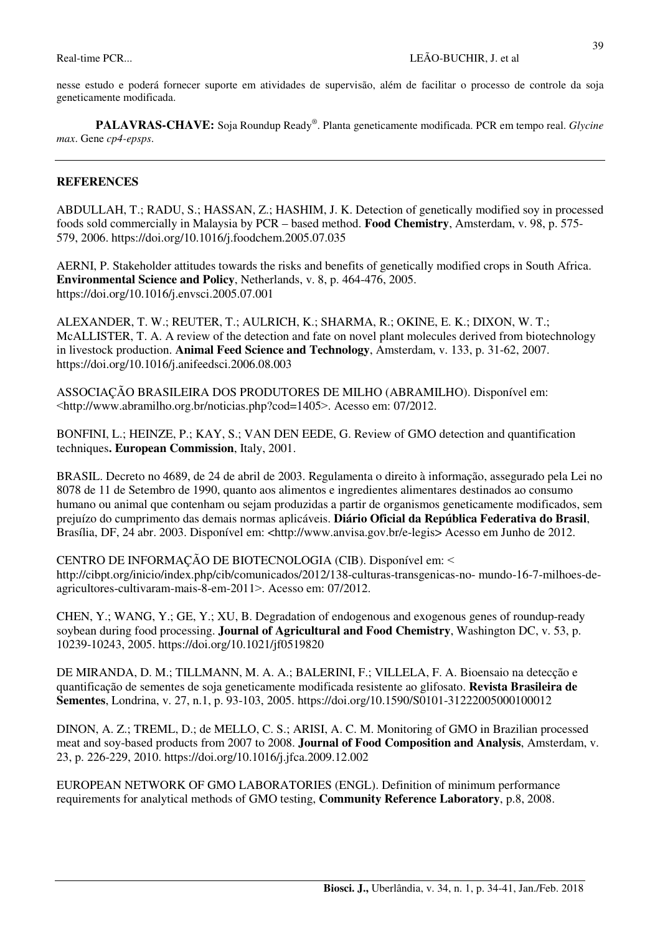nesse estudo e poderá fornecer suporte em atividades de supervisão, além de facilitar o processo de controle da soja geneticamente modificada.

**PALAVRAS-CHAVE:** Soja Roundup Ready® . Planta geneticamente modificada. PCR em tempo real. *Glycine max*. Gene *cp4-epsps*.

#### **REFERENCES**

ABDULLAH, T.; RADU, S.; HASSAN, Z.; HASHIM, J. K. Detection of genetically modified soy in processed foods sold commercially in Malaysia by PCR – based method. **Food Chemistry**, Amsterdam, v. 98, p. 575- 579, 2006. https://doi.org/10.1016/j.foodchem.2005.07.035

AERNI, P. Stakeholder attitudes towards the risks and benefits of genetically modified crops in South Africa. **Environmental Science and Policy**, Netherlands, v. 8, p. 464-476, 2005. https://doi.org/10.1016/j.envsci.2005.07.001

ALEXANDER, T. W.; REUTER, T.; AULRICH, K.; SHARMA, R.; OKINE, E. K.; DIXON, W. T.; McALLISTER, T. A. A review of the detection and fate on novel plant molecules derived from biotechnology in livestock production. **Animal Feed Science and Technology**, Amsterdam, v. 133, p. 31-62, 2007. https://doi.org/10.1016/j.anifeedsci.2006.08.003

ASSOCIAÇÃO BRASILEIRA DOS PRODUTORES DE MILHO (ABRAMILHO). Disponível em: ˂http://www.abramilho.org.br/noticias.php?cod=1405˃. Acesso em: 07/2012.

BONFINI, L.; HEINZE, P.; KAY, S.; VAN DEN EEDE, G. Review of GMO detection and quantification techniques**. European Commission**, Italy, 2001.

BRASIL. Decreto no 4689, de 24 de abril de 2003. Regulamenta o direito à informação, assegurado pela Lei no 8078 de 11 de Setembro de 1990, quanto aos alimentos e ingredientes alimentares destinados ao consumo humano ou animal que contenham ou sejam produzidas a partir de organismos geneticamente modificados, sem prejuízo do cumprimento das demais normas aplicáveis. **Diário Oficial da República Federativa do Brasil**, Brasília, DF, 24 abr. 2003. Disponível em: <http://www.anvisa.gov.br/e-legis> Acesso em Junho de 2012.

CENTRO DE INFORMAÇÃO DE BIOTECNOLOGIA (CIB). Disponível em: ˂ http://cibpt.org/inicio/index.php/cib/comunicados/2012/138-culturas-transgenicas-no- mundo-16-7-milhoes-deagricultores-cultivaram-mais-8-em-2011 >. Acesso em: 07/2012.

CHEN, Y.; WANG, Y.; GE, Y.; XU, B. Degradation of endogenous and exogenous genes of roundup-ready soybean during food processing. **Journal of Agricultural and Food Chemistry**, Washington DC, v. 53, p. 10239-10243, 2005. https://doi.org/10.1021/jf0519820

DE MIRANDA, D. M.; TILLMANN, M. A. A.; BALERINI, F.; VILLELA, F. A. Bioensaio na detecção e quantificação de sementes de soja geneticamente modificada resistente ao glifosato. **Revista Brasileira de Sementes**, Londrina, v. 27, n.1, p. 93-103, 2005. https://doi.org/10.1590/S0101-31222005000100012

DINON, A. Z.; TREML, D.; de MELLO, C. S.; ARISI, A. C. M. Monitoring of GMO in Brazilian processed meat and soy-based products from 2007 to 2008. **Journal of Food Composition and Analysis**, Amsterdam, v. 23, p. 226-229, 2010. https://doi.org/10.1016/j.jfca.2009.12.002

EUROPEAN NETWORK OF GMO LABORATORIES (ENGL). Definition of minimum performance requirements for analytical methods of GMO testing, **Community Reference Laboratory**, p.8, 2008.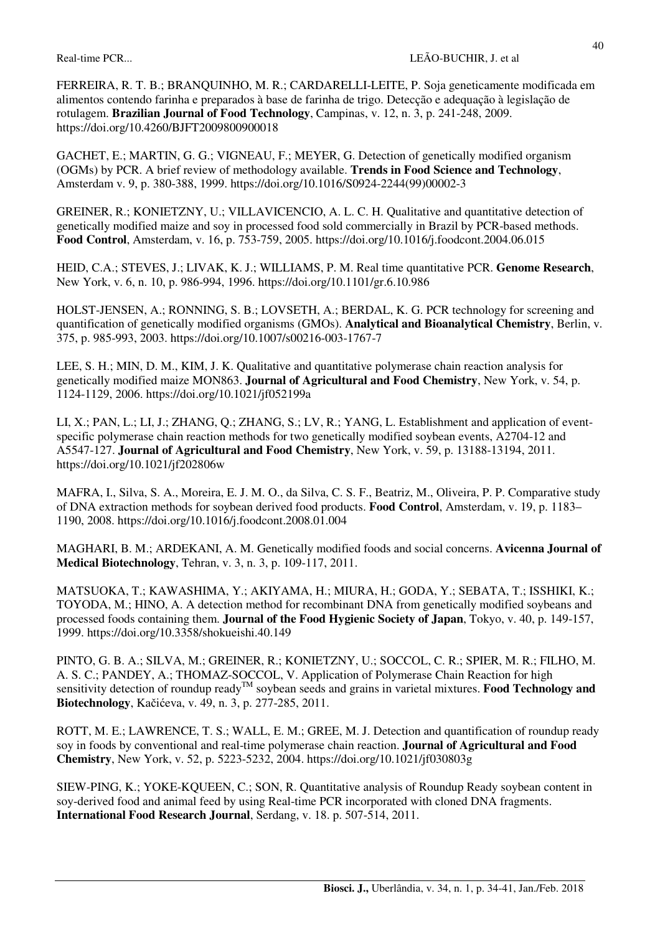FERREIRA, R. T. B.; BRANQUINHO, M. R.; CARDARELLI-LEITE, P. Soja geneticamente modificada em alimentos contendo farinha e preparados à base de farinha de trigo. Detecção e adequação à legislação de rotulagem. **Brazilian Journal of Food Technology**, Campinas, v. 12, n. 3, p. 241-248, 2009. https://doi.org/10.4260/BJFT2009800900018

GACHET, E.; MARTIN, G. G.; VIGNEAU, F.; MEYER, G. Detection of genetically modified organism (OGMs) by PCR. A brief review of methodology available. **Trends in Food Science and Technology**, Amsterdam v. 9, p. 380-388, 1999. https://doi.org/10.1016/S0924-2244(99)00002-3

GREINER, R.; KONIETZNY, U.; VILLAVICENCIO, A. L. C. H. Qualitative and quantitative detection of genetically modified maize and soy in processed food sold commercially in Brazil by PCR-based methods. **Food Control**, Amsterdam, v. 16, p. 753-759, 2005. https://doi.org/10.1016/j.foodcont.2004.06.015

HEID, C.A.; STEVES, J.; LIVAK, K. J.; WILLIAMS, P. M. Real time quantitative PCR. **Genome Research**, New York, v. 6, n. 10, p. 986-994, 1996. https://doi.org/10.1101/gr.6.10.986

HOLST-JENSEN, A.; RONNING, S. B.; LOVSETH, A.; BERDAL, K. G. PCR technology for screening and quantification of genetically modified organisms (GMOs). **Analytical and Bioanalytical Chemistry**, Berlin, v. 375, p. 985-993, 2003. https://doi.org/10.1007/s00216-003-1767-7

LEE, S. H.; MIN, D. M., KIM, J. K. Qualitative and quantitative polymerase chain reaction analysis for genetically modified maize MON863. **Journal of Agricultural and Food Chemistry**, New York, v. 54, p. 1124-1129, 2006. https://doi.org/10.1021/jf052199a

LI, X.; PAN, L.; LI, J.; ZHANG, Q.; ZHANG, S.; LV, R.; YANG, L. Establishment and application of eventspecific polymerase chain reaction methods for two genetically modified soybean events, A2704-12 and A5547-127. **Journal of Agricultural and Food Chemistry**, New York, v. 59, p. 13188-13194, 2011. https://doi.org/10.1021/jf202806w

MAFRA, I., Silva, S. A., Moreira, E. J. M. O., da Silva, C. S. F., Beatriz, M., Oliveira, P. P. Comparative study of DNA extraction methods for soybean derived food products. **Food Control**, Amsterdam, v. 19, p. 1183– 1190, 2008. https://doi.org/10.1016/j.foodcont.2008.01.004

MAGHARI, B. M.; ARDEKANI, A. M. Genetically modified foods and social concerns. **Avicenna Journal of Medical Biotechnology**, Tehran, v. 3, n. 3, p. 109-117, 2011.

MATSUOKA, T.; KAWASHIMA, Y.; AKIYAMA, H.; MIURA, H.; GODA, Y.; SEBATA, T.; ISSHIKI, K.; TOYODA, M.; HINO, A. A detection method for recombinant DNA from genetically modified soybeans and processed foods containing them. **Journal of the Food Hygienic Society of Japan**, Tokyo, v. 40, p. 149-157, 1999. https://doi.org/10.3358/shokueishi.40.149

PINTO, G. B. A.; SILVA, M.; GREINER, R.; KONIETZNY, U.; SOCCOL, C. R.; SPIER, M. R.; FILHO, M. A. S. C.; PANDEY, A.; THOMAZ-SOCCOL, V. Application of Polymerase Chain Reaction for high sensitivity detection of roundup ready<sup>TM</sup> soybean seeds and grains in varietal mixtures. **Food Technology and**  $\text{SUSY}^{\text{max}}$ **Biotechnology**, Kačićeva, v. 49, n. 3, p. 277-285, 2011.

ROTT, M. E.; LAWRENCE, T. S.; WALL, E. M.; GREE, M. J. Detection and quantification of roundup ready soy in foods by conventional and real-time polymerase chain reaction. **Journal of Agricultural and Food Chemistry**, New York, v. 52, p. 5223-5232, 2004. https://doi.org/10.1021/jf030803g

SIEW-PING, K.; YOKE-KQUEEN, C.; SON, R. Quantitative analysis of Roundup Ready soybean content in soy-derived food and animal feed by using Real-time PCR incorporated with cloned DNA fragments. **International Food Research Journal**, Serdang, v. 18. p. 507-514, 2011.